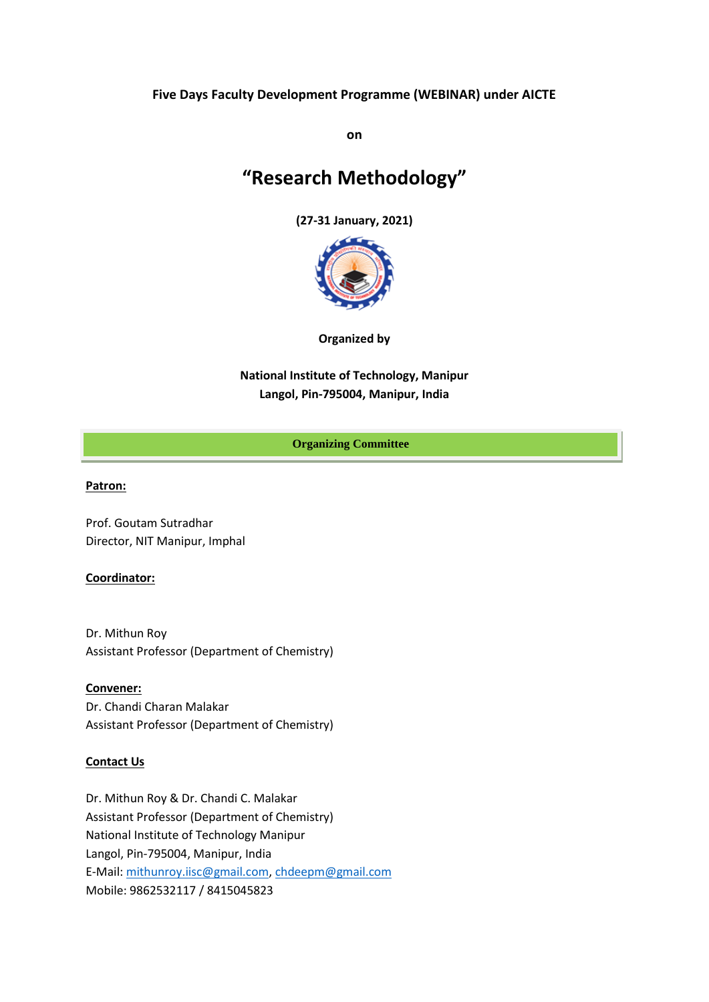## **Five Days Faculty Development Programme (WEBINAR) under AICTE**

**on**

# **"Research Methodology"**

**(27-31 January, 2021)**



**Organized by**

**National Institute of Technology, Manipur Langol, Pin-795004, Manipur, India**

## **Organizing Committee**

## **Patron:**

Prof. Goutam Sutradhar Director, NIT Manipur, Imphal

## **Coordinator:**

Dr. Mithun Roy Assistant Professor (Department of Chemistry)

**Convener:** Dr. Chandi Charan Malakar Assistant Professor (Department of Chemistry)

## **Contact Us**

Dr. Mithun Roy & Dr. Chandi C. Malakar Assistant Professor (Department of Chemistry) National Institute of Technology Manipur Langol, Pin-795004, Manipur, India E-Mail: [mithunroy.iisc@gmail.com,](mailto:mithunroy.iisc@gmail.com) [chdeepm@gmail.com](mailto:chdeepm@gmail.com)  Mobile: 9862532117 / 8415045823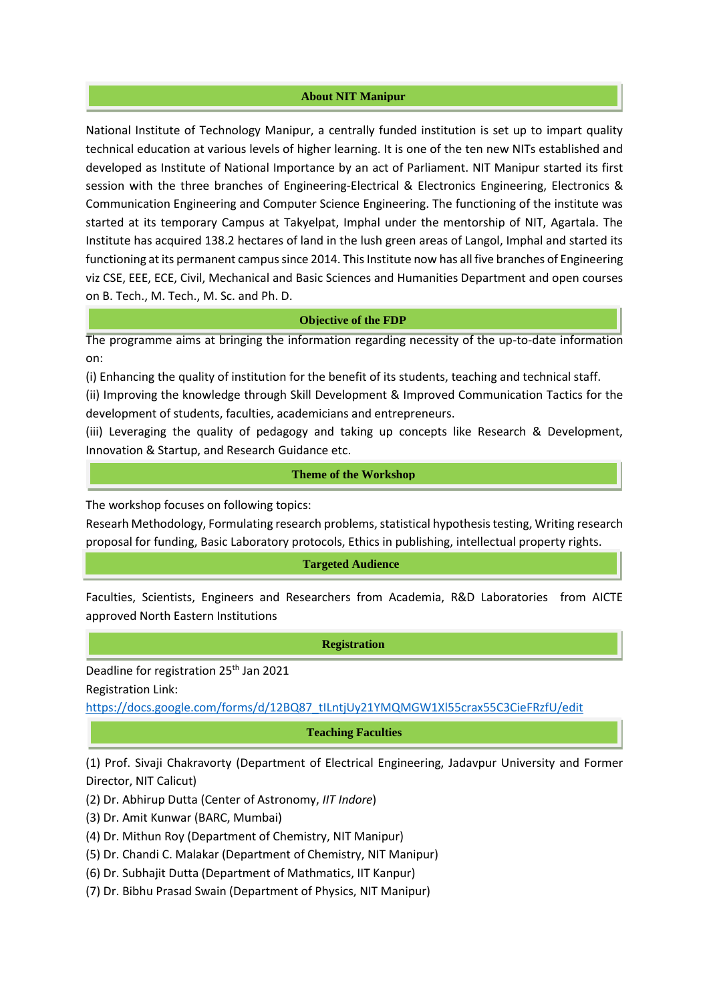#### **About NIT Manipur**

National Institute of Technology Manipur, a centrally funded institution is set up to impart quality technical education at various levels of higher learning. It is one of the ten new NITs established and developed as Institute of National Importance by an act of Parliament. NIT Manipur started its first session with the three branches of Engineering-Electrical & Electronics Engineering, Electronics & Communication Engineering and Computer Science Engineering. The functioning of the institute was started at its temporary Campus at Takyelpat, Imphal under the mentorship of NIT, Agartala. The Institute has acquired 138.2 hectares of land in the lush green areas of Langol, Imphal and started its functioning at its permanent campus since 2014. This Institute now has all five branches of Engineering viz CSE, EEE, ECE, Civil, Mechanical and Basic Sciences and Humanities Department and open courses on B. Tech., M. Tech., M. Sc. and Ph. D.

#### **Objective of the FDP**

The programme aims at bringing the information regarding necessity of the up-to-date information on:

(i) Enhancing the quality of institution for the benefit of its students, teaching and technical staff.

(ii) Improving the knowledge through Skill Development & Improved Communication Tactics for the development of students, faculties, academicians and entrepreneurs.

(iii) Leveraging the quality of pedagogy and taking up concepts like Research & Development, Innovation & Startup, and Research Guidance etc.

## **Theme of the Workshop**

The workshop focuses on following topics:

Researh Methodology, Formulating research problems, statistical hypothesis testing, Writing research proposal for funding, Basic Laboratory protocols, Ethics in publishing, intellectual property rights.

#### **Targeted Audience**

Faculties, Scientists, Engineers and Researchers from Academia, R&D Laboratories from AICTE approved North Eastern Institutions

#### **Registration**

Deadline for registration 25th Jan 2021 Registration Link:

[https://docs.google.com/forms/d/12BQ87\\_tILntjUy21YMQMGW1Xl55crax55C3CieFRzfU/edit](https://docs.google.com/forms/d/12BQ87_tILntjUy21YMQMGW1Xl55crax55C3CieFRzfU/edit)

#### **Teaching Faculties**

(1) Prof. Sivaji Chakravorty (Department of Electrical Engineering, Jadavpur University and Former Director, NIT Calicut)

- (2) Dr. Abhirup Dutta (Center of Astronomy, *IIT Indore*)
- (3) Dr. Amit Kunwar (BARC, Mumbai)
- (4) Dr. Mithun Roy (Department of Chemistry, NIT Manipur)
- (5) Dr. Chandi C. Malakar (Department of Chemistry, NIT Manipur)
- (6) Dr. Subhajit Dutta (Department of Mathmatics, IIT Kanpur)
- (7) Dr. Bibhu Prasad Swain (Department of Physics, NIT Manipur)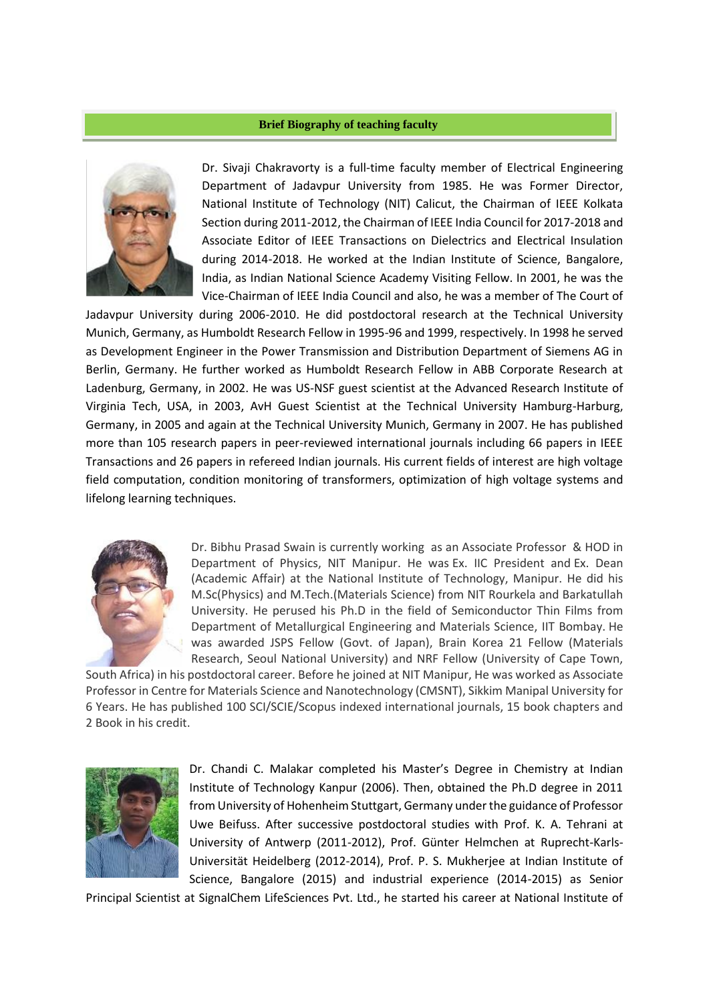## **Brief Biography of teaching faculty**



Dr. Sivaji Chakravorty is a full-time faculty member of Electrical Engineering Department of Jadavpur University from 1985. He was Former Director, National Institute of Technology (NIT) Calicut, the Chairman of IEEE Kolkata Section during 2011-2012, the Chairman of IEEE India Council for 2017-2018 and Associate Editor of IEEE Transactions on Dielectrics and Electrical Insulation during 2014-2018. He worked at the Indian Institute of Science, Bangalore, India, as Indian National Science Academy Visiting Fellow. In 2001, he was the Vice-Chairman of IEEE India Council and also, he was a member of The Court of

Jadavpur University during 2006-2010. He did postdoctoral research at the Technical University Munich, Germany, as Humboldt Research Fellow in 1995-96 and 1999, respectively. In 1998 he served as Development Engineer in the Power Transmission and Distribution Department of Siemens AG in Berlin, Germany. He further worked as Humboldt Research Fellow in ABB Corporate Research at Ladenburg, Germany, in 2002. He was US-NSF guest scientist at the Advanced Research Institute of Virginia Tech, USA, in 2003, AvH Guest Scientist at the Technical University Hamburg-Harburg, Germany, in 2005 and again at the Technical University Munich, Germany in 2007. He has published more than 105 research papers in peer-reviewed international journals including 66 papers in IEEE Transactions and 26 papers in refereed Indian journals. His current fields of interest are high voltage field computation, condition monitoring of transformers, optimization of high voltage systems and lifelong learning techniques.



Dr. Bibhu Prasad Swain is currently working as an Associate Professor & HOD in Department of Physics, NIT Manipur. He was Ex. IIC President and Ex. Dean (Academic Affair) at the National Institute of Technology, Manipur. He did his M.Sc(Physics) and M.Tech.(Materials Science) from NIT Rourkela and Barkatullah University. He perused his Ph.D in the field of Semiconductor Thin Films from Department of Metallurgical Engineering and Materials Science, IIT Bombay. He was awarded JSPS Fellow (Govt. of Japan), Brain Korea 21 Fellow (Materials Research, Seoul National University) and NRF Fellow (University of Cape Town,

South Africa) in his postdoctoral career. Before he joined at NIT Manipur, He was worked as Associate Professor in Centre for Materials Science and Nanotechnology (CMSNT), Sikkim Manipal University for 6 Years. He has published 100 SCI/SCIE/Scopus indexed international journals, 15 book chapters and 2 Book in his credit.



Dr. Chandi C. Malakar completed his Master's Degree in Chemistry at Indian Institute of Technology Kanpur (2006). Then, obtained the Ph.D degree in 2011 from University of Hohenheim Stuttgart, Germany under the guidance of Professor Uwe Beifuss. After successive postdoctoral studies with Prof. K. A. Tehrani at University of Antwerp (2011-2012), Prof. Günter Helmchen at Ruprecht-Karls-Universität Heidelberg (2012-2014), Prof. P. S. Mukherjee at Indian Institute of Science, Bangalore (2015) and industrial experience (2014-2015) as Senior

Principal Scientist at SignalChem LifeSciences Pvt. Ltd., he started his career at National Institute of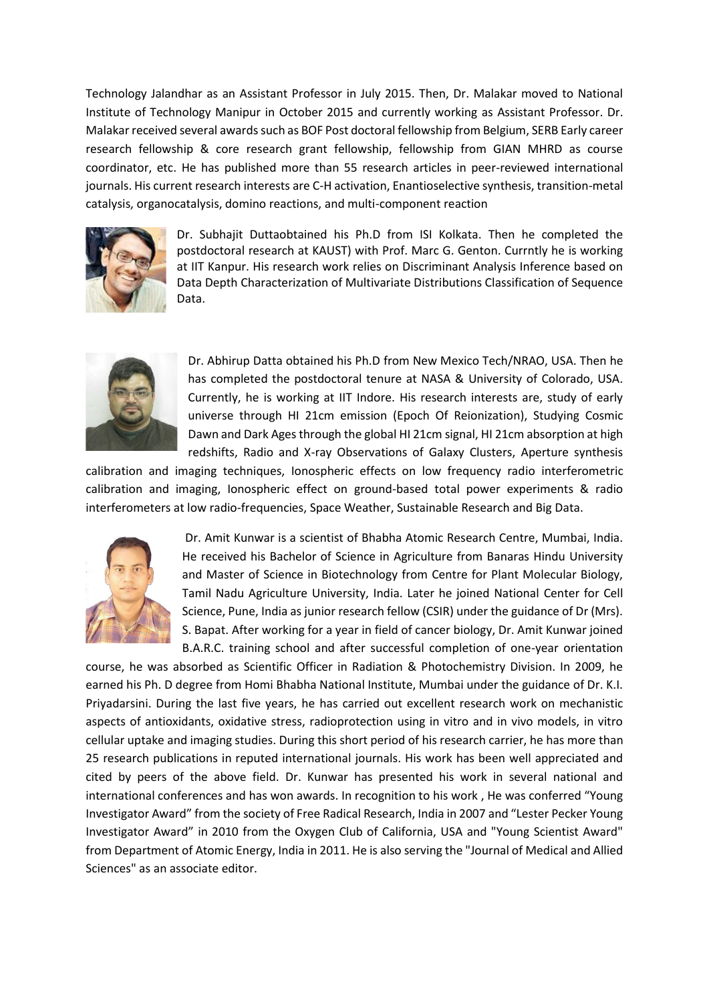Technology Jalandhar as an Assistant Professor in July 2015. Then, Dr. Malakar moved to National Institute of Technology Manipur in October 2015 and currently working as Assistant Professor. Dr. Malakar received several awards such as BOF Post doctoral fellowship from Belgium, SERB Early career research fellowship & core research grant fellowship, fellowship from GIAN MHRD as course coordinator, etc. He has published more than 55 research articles in peer-reviewed international journals. His current research interests are C-H activation, Enantioselective synthesis, transition-metal catalysis, organocatalysis, domino reactions, and multi-component reaction



Dr. Subhajit Duttaobtained his Ph.D from ISI Kolkata. Then he completed the postdoctoral research at KAUST) with Prof. Marc G. Genton. Currntly he is working at IIT Kanpur. His research work relies on Discriminant Analysis Inference based on Data Depth Characterization of Multivariate Distributions Classification of Sequence Data.



Dr. Abhirup Datta obtained his Ph.D from New Mexico Tech/NRAO, USA. Then he has completed the postdoctoral tenure at NASA & University of Colorado, USA. Currently, he is working at IIT Indore. His research interests are, study of early universe through HI 21cm emission (Epoch Of Reionization), Studying Cosmic Dawn and Dark Ages through the global HI 21cm signal, HI 21cm absorption at high redshifts, Radio and X-ray Observations of Galaxy Clusters, Aperture synthesis

calibration and imaging techniques, Ionospheric effects on low frequency radio interferometric calibration and imaging, Ionospheric effect on ground-based total power experiments & radio interferometers at low radio-frequencies, Space Weather, Sustainable Research and Big Data.



Dr. Amit Kunwar is a scientist of Bhabha Atomic Research Centre, Mumbai, India. He received his Bachelor of Science in Agriculture from Banaras Hindu University and Master of Science in Biotechnology from Centre for Plant Molecular Biology, Tamil Nadu Agriculture University, India. Later he joined National Center for Cell Science, Pune, India as junior research fellow (CSIR) under the guidance of Dr (Mrs). S. Bapat. After working for a year in field of cancer biology, Dr. Amit Kunwar joined B.A.R.C. training school and after successful completion of one-year orientation

course, he was absorbed as Scientific Officer in Radiation & Photochemistry Division. In 2009, he earned his Ph. D degree from Homi Bhabha National Institute, Mumbai under the guidance of Dr. K.I. Priyadarsini. During the last five years, he has carried out excellent research work on mechanistic aspects of antioxidants, oxidative stress, radioprotection using in vitro and in vivo models, in vitro cellular uptake and imaging studies. During this short period of his research carrier, he has more than 25 research publications in reputed international journals. His work has been well appreciated and cited by peers of the above field. Dr. Kunwar has presented his work in several national and international conferences and has won awards. In recognition to his work , He was conferred "Young Investigator Award" from the society of Free Radical Research, India in 2007 and "Lester Pecker Young Investigator Award" in 2010 from the Oxygen Club of California, USA and "Young Scientist Award" from Department of Atomic Energy, India in 2011. He is also serving the "Journal of Medical and Allied Sciences" as an associate editor.